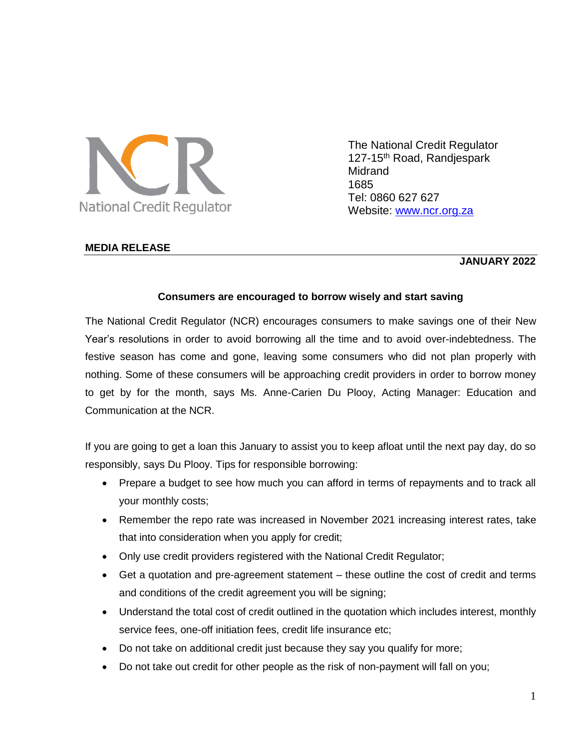

The National Credit Regulator 127-15<sup>th</sup> Road, Randjespark Midrand 1685 Tel: 0860 627 627 Website: [www.ncr.org.za](http://www.ncr.org.za/)

# **MEDIA RELEASE**

### **JANUARY 2022**

### **Consumers are encouraged to borrow wisely and start saving**

The National Credit Regulator (NCR) encourages consumers to make savings one of their New Year's resolutions in order to avoid borrowing all the time and to avoid over-indebtedness. The festive season has come and gone, leaving some consumers who did not plan properly with nothing. Some of these consumers will be approaching credit providers in order to borrow money to get by for the month, says Ms. Anne-Carien Du Plooy, Acting Manager: Education and Communication at the NCR.

If you are going to get a loan this January to assist you to keep afloat until the next pay day, do so responsibly, says Du Plooy. Tips for responsible borrowing:

- Prepare a budget to see how much you can afford in terms of repayments and to track all your monthly costs;
- Remember the repo rate was increased in November 2021 increasing interest rates, take that into consideration when you apply for credit;
- Only use credit providers registered with the National Credit Regulator;
- Get a quotation and pre-agreement statement these outline the cost of credit and terms and conditions of the credit agreement you will be signing;
- Understand the total cost of credit outlined in the quotation which includes interest, monthly service fees, one-off initiation fees, credit life insurance etc;
- Do not take on additional credit just because they say you qualify for more;
- Do not take out credit for other people as the risk of non-payment will fall on you;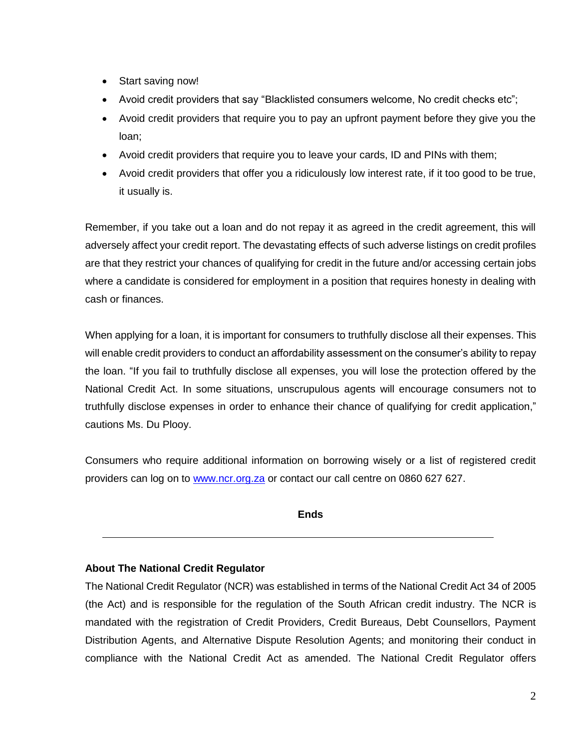- Start saving now!
- Avoid credit providers that say "Blacklisted consumers welcome, No credit checks etc";
- Avoid credit providers that require you to pay an upfront payment before they give you the loan;
- Avoid credit providers that require you to leave your cards, ID and PINs with them;
- Avoid credit providers that offer you a ridiculously low interest rate, if it too good to be true, it usually is.

Remember, if you take out a loan and do not repay it as agreed in the credit agreement, this will adversely affect your credit report. The devastating effects of such adverse listings on credit profiles are that they restrict your chances of qualifying for credit in the future and/or accessing certain jobs where a candidate is considered for employment in a position that requires honesty in dealing with cash or finances.

When applying for a loan, it is important for consumers to truthfully disclose all their expenses. This will enable credit providers to conduct an affordability assessment on the consumer's ability to repay the loan. "If you fail to truthfully disclose all expenses, you will lose the protection offered by the National Credit Act. In some situations, unscrupulous agents will encourage consumers not to truthfully disclose expenses in order to enhance their chance of qualifying for credit application," cautions Ms. Du Plooy.

Consumers who require additional information on borrowing wisely or a list of registered credit providers can log on to **www.ncr.org.za** or contact our call centre on 0860 627 627.

**Ends**

# **About The National Credit Regulator**

The National Credit Regulator (NCR) was established in terms of the National Credit Act 34 of 2005 (the Act) and is responsible for the regulation of the South African credit industry. The NCR is mandated with the registration of Credit Providers, Credit Bureaus, Debt Counsellors, Payment Distribution Agents, and Alternative Dispute Resolution Agents; and monitoring their conduct in compliance with the National Credit Act as amended. The National Credit Regulator offers